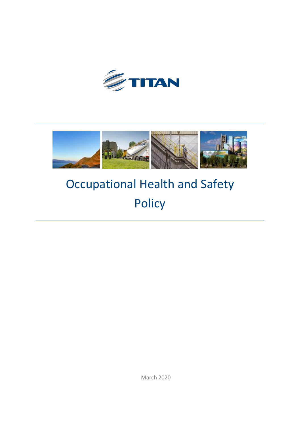



# Occupational Health and Safety Policy

March 2020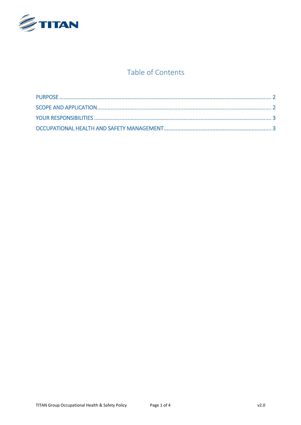

## Table of Contents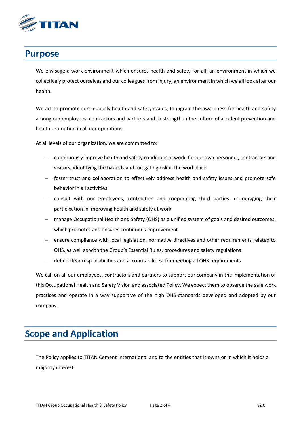

# <span id="page-2-0"></span>**Purpose**

We envisage a work environment which ensures health and safety for all; an environment in which we collectively protect ourselves and our colleagues from injury; an environment in which we all look after our health.

We act to promote continuously health and safety issues, to ingrain the awareness for health and safety among our employees, contractors and partners and to strengthen the culture of accident prevention and health promotion in all our operations.

At all levels of our organization, we are committed to:

- continuously improve health and safety conditions at work, for our own personnel, contractors and visitors, identifying the hazards and mitigating risk in the workplace
- foster trust and collaboration to effectively address health and safety issues and promote safe behavior in all activities
- consult with our employees, contractors and cooperating third parties, encouraging their participation in improving health and safety at work
- manage Occupational Health and Safety (OHS) as a unified system of goals and desired outcomes, which promotes and ensures continuous improvement
- ensure compliance with local legislation, normative directives and other requirements related to OHS, as well as with the Group's Essential Rules, procedures and safety regulations
- define clear responsibilities and accountabilities, for meeting all OHS requirements

We call on all our employees, contractors and partners to support our company in the implementation of this Occupational Health and Safety Vision and associated Policy. We expect them to observe the safe work practices and operate in a way supportive of the high OHS standards developed and adopted by our company.

# <span id="page-2-1"></span>**Scope and Application**

The Policy applies to TITAN Cement International and to the entities that it owns or in which it holds a majority interest.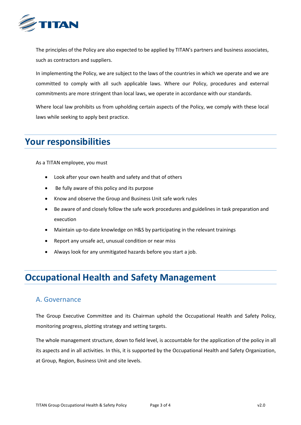

The principles of the Policy are also expected to be applied by TITAN's partners and business associates, such as contractors and suppliers.

In implementing the Policy, we are subject to the laws of the countries in which we operate and we are committed to comply with all such applicable laws. Where our Policy, procedures and external commitments are more stringent than local laws, we operate in accordance with our standards.

Where local law prohibits us from upholding certain aspects of the Policy, we comply with these local laws while seeking to apply best practice.

# <span id="page-3-0"></span>**Your responsibilities**

As a TITAN employee, you must

- Look after your own health and safety and that of others
- Be fully aware of this policy and its purpose
- Know and observe the Group and Business Unit safe work rules
- Be aware of and closely follow the safe work procedures and guidelines in task preparation and execution
- Maintain up-to-date knowledge on H&S by participating in the relevant trainings
- Report any unsafe act, unusual condition or near miss
- Always look for any unmitigated hazards before you start a job.

# <span id="page-3-1"></span>**Occupational Health and Safety Management**

#### A. Governance

The Group Executive Committee and its Chairman uphold the Occupational Health and Safety Policy, monitoring progress, plotting strategy and setting targets.

The whole management structure, down to field level, is accountable for the application of the policy in all its aspects and in all activities. In this, it is supported by the Occupational Health and Safety Organization, at Group, Region, Business Unit and site levels.